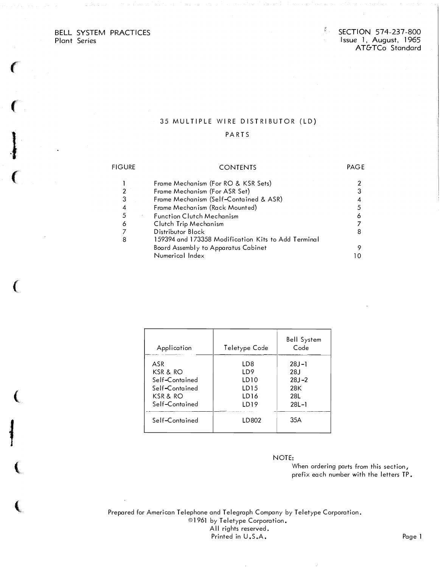## BELL SYSTEM PRACTICES Plant Series

**CONTRACTOR** 

ſ

 $\frac{\partial}{\partial t}$ 

## 35 MULTIPLE WIRE DISTRIBUTOR (LD)

### PARTS

| FIGURE | <b>CONTENTS</b>                                     | PAGE |
|--------|-----------------------------------------------------|------|
|        | Frame Mechanism (For RO & KSR Sets)                 |      |
| 2      | Frame Mechanism (For ASR Set)                       |      |
| 3      | Frame Mechanism (Self-Contained & ASR)              |      |
| 4      | Frame Mechanism (Rack Mounted)                      |      |
| 5      | <b>Function Clutch Mechanism</b>                    | 6    |
| 6      | Clutch Trip Mechanism                               |      |
|        | Distributor Block                                   |      |
| 8      | 159394 and 173358 Modification Kits to Add Terminal |      |
|        | Board Assembly to Apparatus Cabinet                 |      |
|        | Numerical Index                                     |      |

| Application                                                                       | Teletype Code                                                                  | <b>Bell System</b><br>Code                                |
|-----------------------------------------------------------------------------------|--------------------------------------------------------------------------------|-----------------------------------------------------------|
| ASR<br>KSR & RO<br>Self-Contained<br>Self-Contained<br>KSR & RO<br>Self-Contained | LD <sub>8</sub><br>LD9<br>LD10<br>LD <sub>15</sub><br>LD <sub>16</sub><br>LD19 | $28J - 1$<br>28 J<br>$28J - 2$<br>28K<br>28L<br>$28L - 1$ |
| Self-Contained                                                                    | LD802                                                                          | 35A                                                       |

### NOTE:

When ordering parts from this section, prefix each number with the letters TP.

Prepared for American Telephone and Telegraph Company by Teletype Corporation. ©1961 by Teletype Corporation. All rights reserved. Printed in U.S.A. Page 1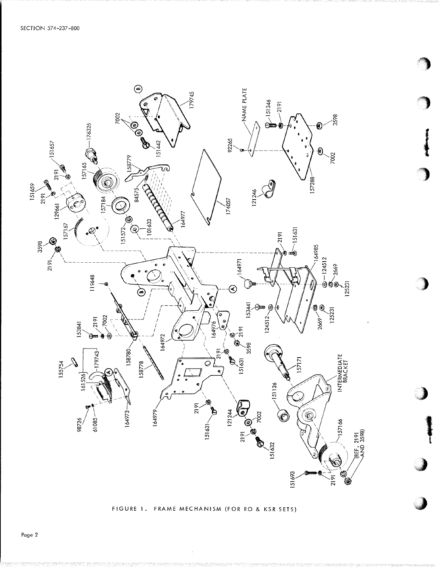

FIGURE 1. FRAME MECHANISM (FOR RO & KSR SETS)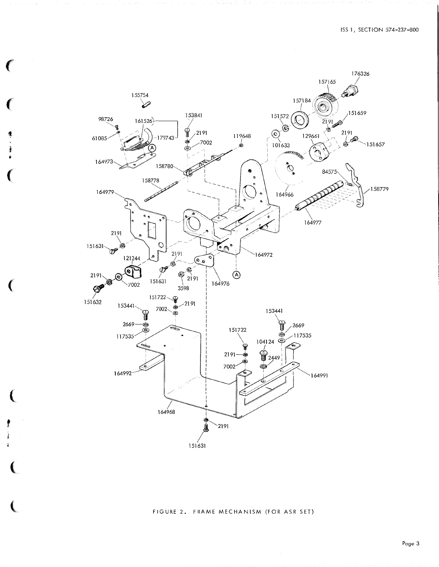

### FIGURE 2. FRAME MECHANISM (FOR ASR SET)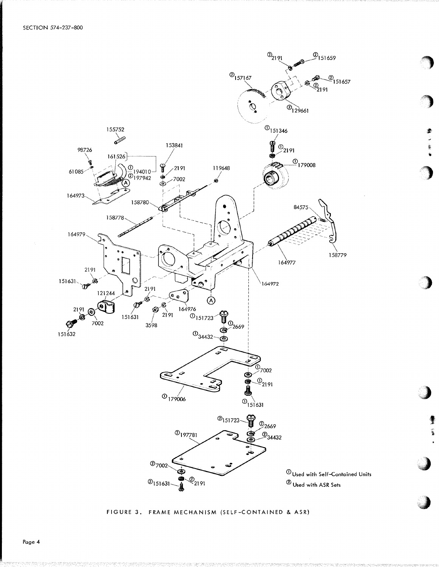

۸

鸾

## FIGURE 3. FRAME MECHANISM (SELF-CONTAINED & ASR)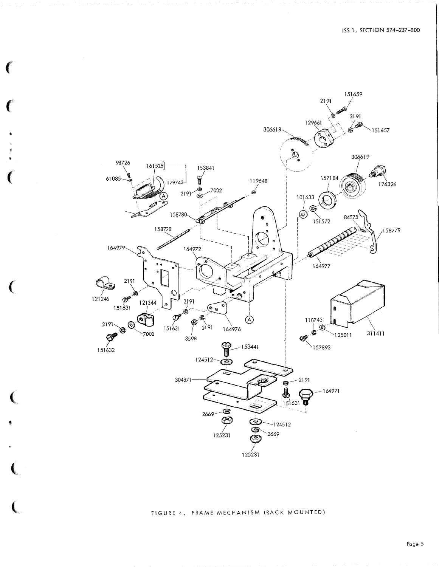

# FIGURE 4. FRAME MECHANISM (RACK MOUNTED)

€

Page 5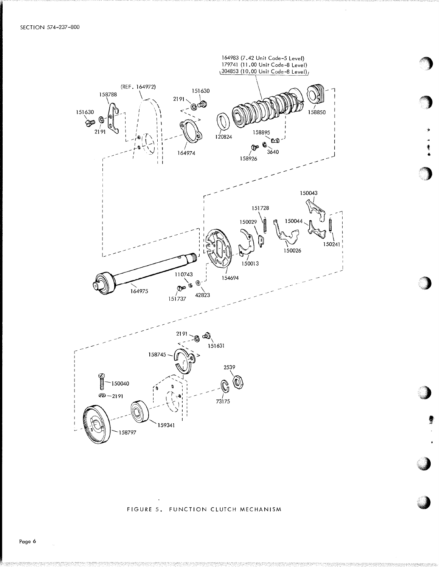

一卷布

FIGURE 5. FUNCTION CLUTCH MECHANISM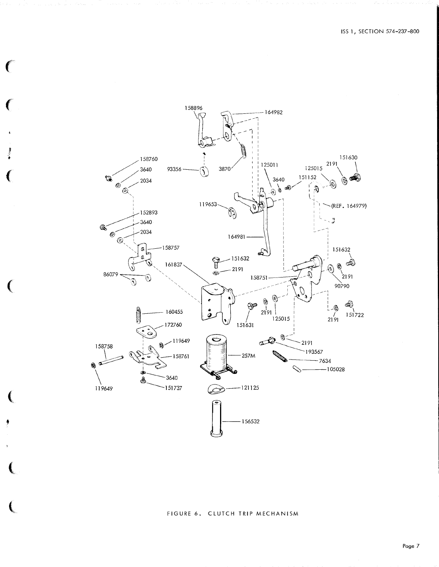

€

 $\big($ 

## FIGURE 6. CLUTCH TRIP MECHANISM

Page 7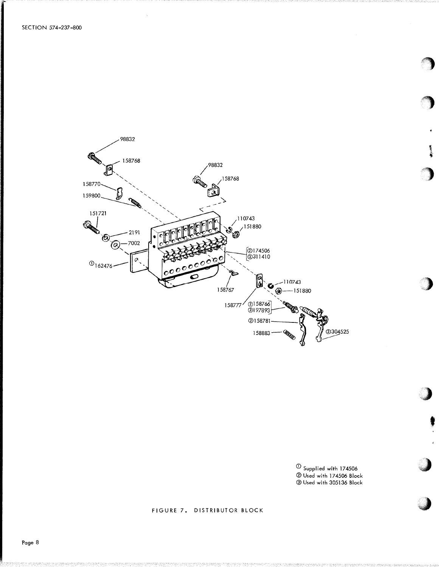

① Supplied with 174506<br>② Used with 174506 Block<br>③ Used with 305136 Block

医变化

## FIGURE 7. DISTRIBUTOR BLOCK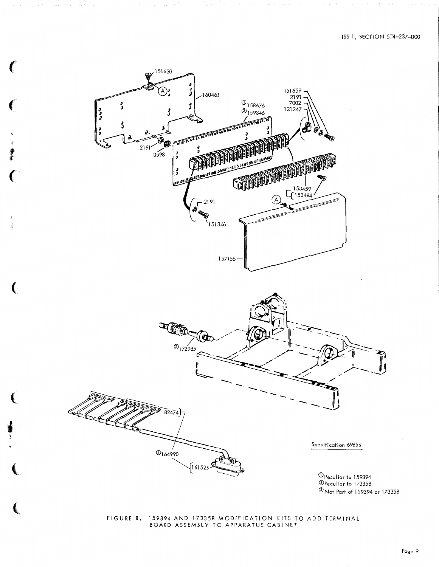

ſ

FIGURE 8. 159394 AND 173358 MODIFICATION KITS TO ADD TERMINAL BOARD ASSEMBLY TO APPARATUS CABINET